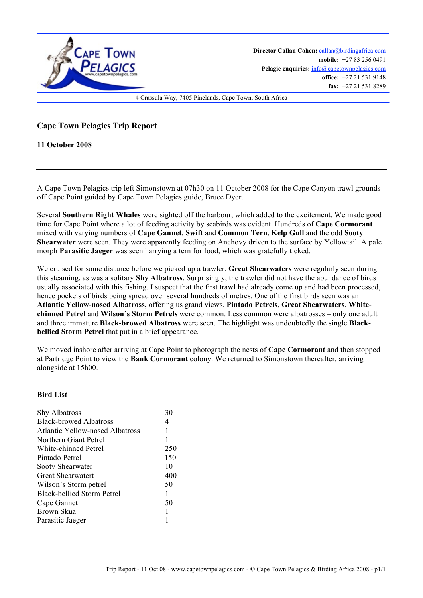

**Director Callan Cohen:** callan@birdingafrica.com **mobile: +**27 83 256 0491 Pelagic enquiries:  $info@capetownpelagics.com$ **office:** +27 21 531 9148 **fax:** +27 21 531 8289

4 Crassula Way, 7405 Pinelands, Cape Town, South Africa

## **Cape Town Pelagics Trip Report**

**11 October 2008**

A Cape Town Pelagics trip left Simonstown at 07h30 on 11 October 2008 for the Cape Canyon trawl grounds off Cape Point guided by Cape Town Pelagics guide, Bruce Dyer.

Several **Southern Right Whales** were sighted off the harbour, which added to the excitement. We made good time for Cape Point where a lot of feeding activity by seabirds was evident. Hundreds of **Cape Cormorant** mixed with varying numbers of **Cape Gannet**, **Swift** and **Common Tern**, **Kelp Gull** and the odd **Sooty Shearwater** were seen. They were apparently feeding on Anchovy driven to the surface by Yellowtail. A pale morph **Parasitic Jaeger** was seen harrying a tern for food, which was gratefully ticked.

We cruised for some distance before we picked up a trawler. **Great Shearwaters** were regularly seen during this steaming, as was a solitary **Shy Albatross**. Surprisingly, the trawler did not have the abundance of birds usually associated with this fishing. I suspect that the first trawl had already come up and had been processed, hence pockets of birds being spread over several hundreds of metres. One of the first birds seen was an **Atlantic Yellow**-**nosed Albatross,** offering us grand views. **Pintado Petrels**, **Great Shearwaters**, **Whitechinned Petrel** and **Wilson's Storm Petrels** were common. Less common were albatrosses – only one adult and three immature **Black**-**browed Albatross** were seen. The highlight was undoubtedly the single **Blackbellied Storm Petrel** that put in a brief appearance.

We moved inshore after arriving at Cape Point to photograph the nests of **Cape Cormorant** and then stopped at Partridge Point to view the **Bank Cormorant** colony. We returned to Simonstown thereafter, arriving alongside at 15h00.

## **Bird List**

| <b>Shy Albatross</b>            | 30  |
|---------------------------------|-----|
| <b>Black-browed Albatross</b>   | 4   |
| Atlantic Yellow-nosed Albatross | 1   |
| Northern Giant Petrel           | 1   |
| White-chinned Petrel            | 250 |
| Pintado Petrel                  | 150 |
| Sooty Shearwater                | 10  |
| <b>Great Shearwatert</b>        | 400 |
| Wilson's Storm petrel           | 50  |
| Black-bellied Storm Petrel      | 1   |
| Cape Gannet                     | 50  |
| Brown Skua                      | 1   |
| Parasitic Jaeger                |     |
|                                 |     |